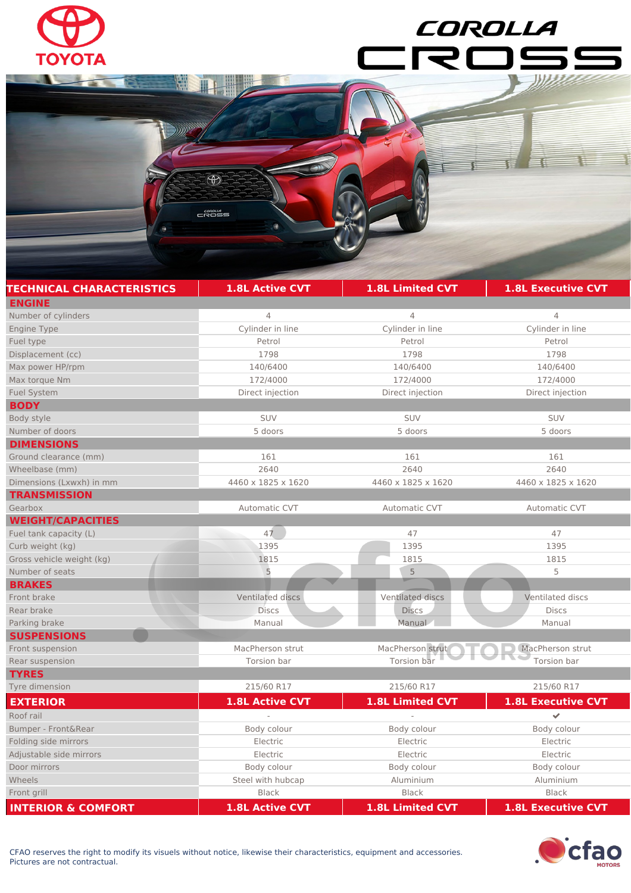

 $\bigcirc$ 

 $\begin{array}{r}\n 1.000044 \\
1.00004\n\end{array}$ 

## COROLLA  $\overline{\mathcal{R}}$

| <b>TECHNICAL CHARACTERISTICS</b> | <b>1.8L Active CVT</b> | 1.8L Limited CVT   | <b>1.8L Executive CVT</b> |
|----------------------------------|------------------------|--------------------|---------------------------|
| <b>ENGINE</b>                    |                        |                    |                           |
| Number of cylinders              | 4                      | $\overline{4}$     | $\overline{4}$            |
| <b>Engine Type</b>               | Cylinder in line       | Cylinder in line   | Cylinder in line          |
| Fuel type                        | Petrol                 | Petrol             | Petrol                    |
| Displacement (cc)                | 1798                   | 1798               | 1798                      |
| Max power HP/rpm                 | 140/6400               | 140/6400           | 140/6400                  |
| Max torque Nm                    | 172/4000               | 172/4000           | 172/4000                  |
| <b>Fuel System</b>               | Direct injection       | Direct injection   | Direct injection          |
| <b>BODY</b>                      |                        |                    |                           |
| Body style                       | SUV                    | SUV                | SUV                       |
| Number of doors                  | 5 doors                | 5 doors            | 5 doors                   |
| <b>DIMENSIONS</b>                |                        |                    |                           |
| Ground clearance (mm)            | 161                    | 161                | 161                       |
| Wheelbase (mm)                   | 2640                   | 2640               | 2640                      |
| Dimensions (Lxwxh) in mm         | 4460 x 1825 x 1620     | 4460 x 1825 x 1620 | 4460 x 1825 x 1620        |
| <b>TRANSMISSION</b>              |                        |                    |                           |
| Gearbox                          | Automatic CVT          | Automatic CVT      | Automatic CVT             |
| <b>WEIGHT/CAPACITIES</b>         |                        |                    |                           |
| Fuel tank capacity (L)           | 47                     | 47                 | 47                        |
| Curb weight (kg)                 | 1395                   | 1395               | 1395                      |
| Gross vehicle weight (kg)        | 1815                   | 1815               | 1815                      |
| Number of seats                  | 5                      | 5                  | 5                         |
| <b>BRAKES</b>                    |                        |                    |                           |
| Front brake                      | Ventilated discs       | Ventilated discs   | Ventilated discs          |
| Rear brake                       | <b>Discs</b>           | <b>Discs</b>       | <b>Discs</b>              |
| Parking brake                    | Manual                 | Manual             | Manual                    |
| <b>SUSPENSIONS</b>               |                        |                    |                           |
| Front suspension                 | MacPherson strut       | MacPherson strut   | MacPherson strut          |
| Rear suspension                  | Torsion bar            | Torsion bar        | Torsion bar               |
| <b>TYRES</b>                     |                        |                    |                           |
| Tyre dimension                   | 215/60 R17             | 215/60 R17         | 215/60 R17                |
| <b>EXTERIOR</b>                  | <b>1.8L Active CVT</b> | 1.8L Limited CVT   | <b>1.8L Executive CVT</b> |
| Roof rail                        |                        |                    | V                         |
| Bumper - Front&Rear              | Body colour            | Body colour        | Body colour               |
| Folding side mirrors             | Electric               | Electric           | Electric                  |
| Adjustable side mirrors          | Electric               | Electric           | Electric                  |
| Door mirrors                     | Body colour            | Body colour        | Body colour               |
| Wheels                           | Steel with hubcap      | Aluminium          | Aluminium                 |
| Front grill                      | Black                  | <b>Black</b>       | <b>Black</b>              |

**INTERIOR & COMFORT 1.8L Active CVT 1.8L Limited CVT 1.8L Executive CVT**



τ